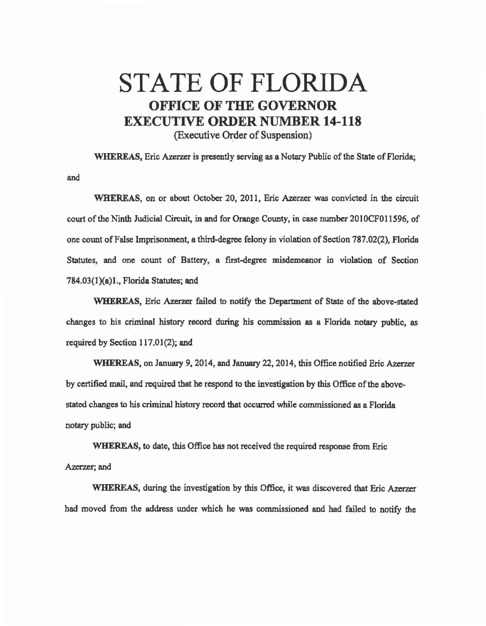## STATE OF FLORIDA OFFICE OF THE GOVERNOR EXECUTIVE ORDER NUMBER 14-118 (Executive Order of Suspension)

WHEREAS, Eric Azerzer is presently serving as a Notary Public of the State of Florida; and

WHEREAS, on or about October 20, 2011, Eric Azerzer was convicted in the circuit court of the Ninth Judicial Circuit, in and for Orange County, in case number 201OCFO11596, of one count of False Imprisonment, a third-degree felony in violation of Section 787.02(2), Florida Statutes, and one count of Battery, a first-degree misdemeanor in violation of Section 784.03(1)(a)1., Florida Statutes; and

WHEREAS, Eric Azerzer failed to notify the Department of State of the above-stated changes to his criminal history record during his commission as a Florida notary public, as required by Section  $117.01(2)$ ; and

WHEREAS, on January 9. 2014, and January 22, 2014, this Office notified Eric Azerzer by certified mail, and required that he respond to the investigation by this Office of the abovestated changes 1o his criminal history record that occurred while commissioned as a Florida notary public; and

WHEREAS, 1o date, this Office has not received the required response from Eric Azerzer; and

WHEREAS, during the investigation by this Office, it was discovered that Eric Azerzer had moved from the address under which he *was* commissioned and had failed to notify the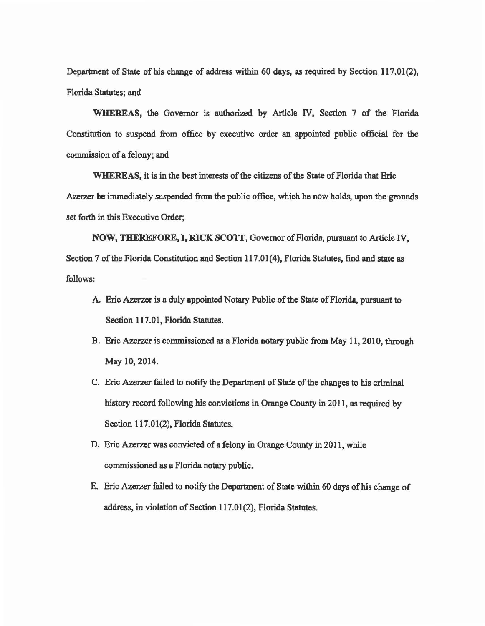Department of State of his change of address within 60 days, as required by Section 117.01(2), Florida Statutes; and

WHEREAS, the Governor is authorized by Article IV, Section 7 of the Florida Constitution to suspend from office by executive order an appointed public official for the commission of a felony; and

WHEREAS, it is in the best interests of the citizens of the State of Florida that Eric Azerzer be immediately suspended from the public office, which he now holds, upon the grounds set forth in this Executive Order;

NOW, THEREFORE, I, RICK SCOTT, Governor of Florida, pursuant to Article IV, Section 7 of the Florida Constitution and Section 117.01(4), Florida Statutes, find and state as follows:

- A. Eric A2azer is a duly appointed Notary Public of the State of Florida, pursuant to Section 117.01, Florida Statutes.
- B. Eric Azerzer is commissioned as a Florida notary public from May 11, 2010, through May 10, 2014.
- C. Eric Azerzer failed to notify the Department of State of the changes to his criminal history record following his convictions in Orange County in 2011, as required by Section 117.01(2), Florida Statutes.
- D. Eric Azerzer was convicted of a felony in Orange County in 2011, while commissioned as a Florida notary public.
- E. Eric Azerzer failed to notify the Department of State within 60 days of his change of address, in violation of Section 117.01(2), Florida Statutes.